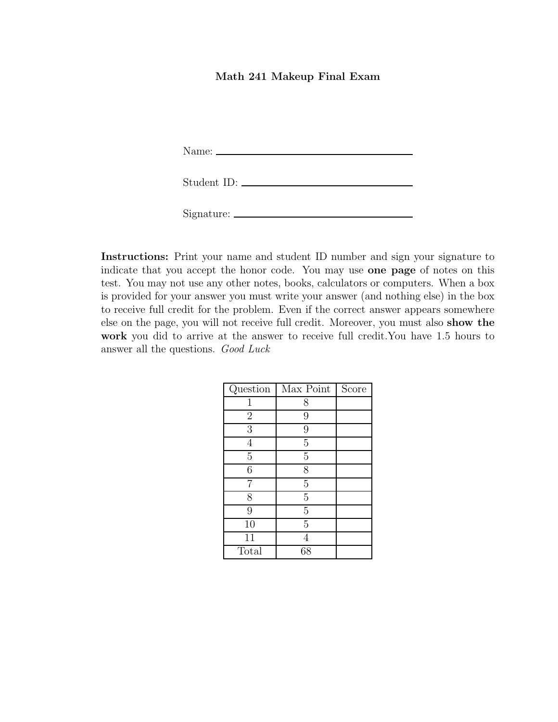## Math 241 Makeup Final Exam

Name:

| Student ID: |  |
|-------------|--|
|             |  |

Signature:

Instructions: Print your name and student ID number and sign your signature to indicate that you accept the honor code. You may use one page of notes on this test. You may not use any other notes, books, calculators or computers. When a box is provided for your answer you must write your answer (and nothing else) in the box to receive full credit for the problem. Even if the correct answer appears somewhere else on the page, you will not receive full credit. Moreover, you must also show the work you did to arrive at the answer to receive full credit.You have 1.5 hours to answer all the questions. Good Luck

| Question       | Max Point      | Score |
|----------------|----------------|-------|
| 1              | 8              |       |
| $\overline{2}$ | 9              |       |
| 3              | 9              |       |
| 4              | 5              |       |
| $\overline{5}$ | $\overline{5}$ |       |
| 6              | 8              |       |
|                | 5              |       |
| 8              | $\overline{5}$ |       |
| 9              | $\overline{5}$ |       |
| 10             | 5              |       |
| 11             |                |       |
| Total          | 68             |       |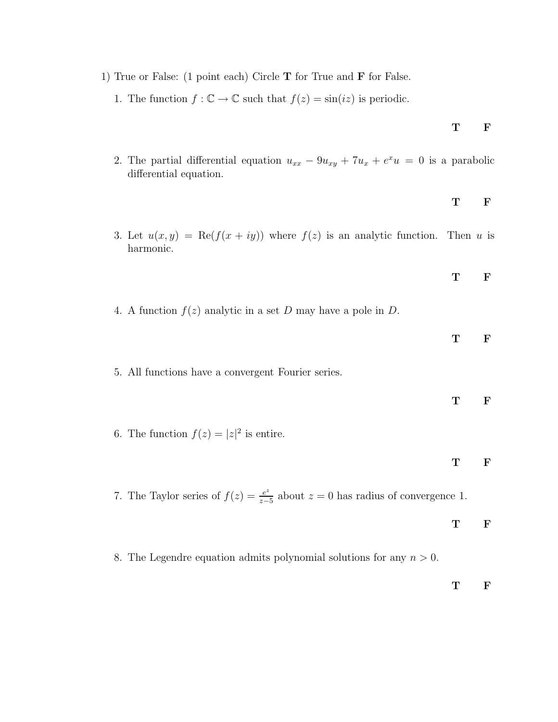- 1) True or False: (1 point each) Circle T for True and F for False.
	- 1. The function  $f : \mathbb{C} \to \mathbb{C}$  such that  $f(z) = \sin(iz)$  is periodic.
	- 2. The partial differential equation  $u_{xx} 9u_{xy} + 7u_x + e^x u = 0$  is a parabolic differential equation.
	- 3. Let  $u(x, y) = \text{Re}(f(x + iy))$  where  $f(z)$  is an analytic function. Then u is harmonic.
	- 4. A function  $f(z)$  analytic in a set D may have a pole in D.
		- T F
	- 5. All functions have a convergent Fourier series.
		- T F
	- 6. The function  $f(z) = |z|^2$  is entire.

- T F
- 7. The Taylor series of  $f(z) = \frac{e^z}{z-}$  $\frac{e^z}{z-5}$  about  $z = 0$  has radius of convergence 1.

T F

8. The Legendre equation admits polynomial solutions for any  $n > 0$ .

T F

## T F

T F

T F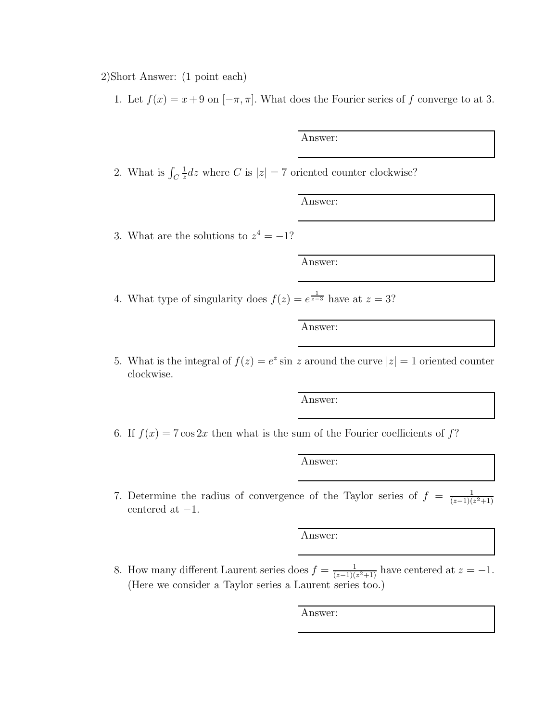2)Short Answer: (1 point each)

1. Let  $f(x) = x + 9$  on  $[-\pi, \pi]$ . What does the Fourier series of f converge to at 3.

Answer:

2. What is  $\int_C$ 1  $\frac{1}{z}dz$  where C is  $|z| = 7$  oriented counter clockwise?

Answer:

3. What are the solutions to  $z^4 = -1$ ?

Answer:

4. What type of singularity does  $f(z) = e^{\frac{1}{z-3}}$  have at  $z = 3$ ?

Answer:

5. What is the integral of  $f(z) = e^z \sin z$  around the curve  $|z| = 1$  oriented counter clockwise.

Answer:

6. If  $f(x) = 7 \cos 2x$  then what is the sum of the Fourier coefficients of f?

Answer:

7. Determine the radius of convergence of the Taylor series of  $f = \frac{1}{(z-1)(z^2+1)}$ centered at  $-1$ .

Answer:

8. How many different Laurent series does  $f = \frac{1}{(z-1)(z^2+1)}$  have centered at  $z = -1$ . (Here we consider a Taylor series a Laurent series too.)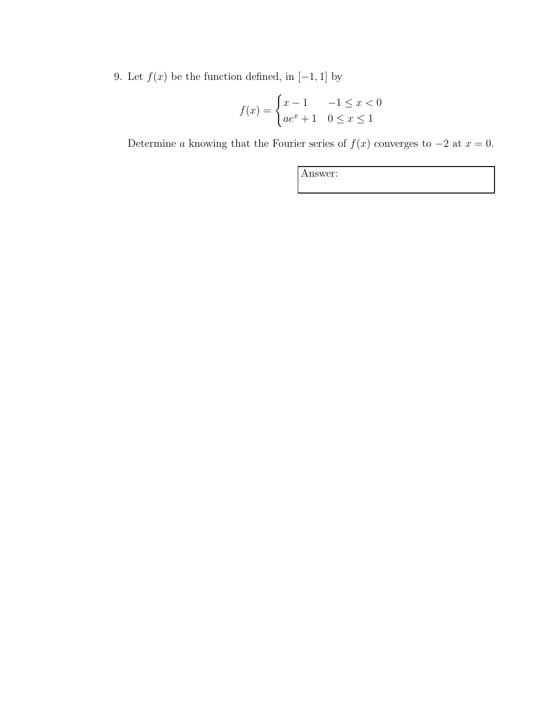9. Let  $f(x)$  be the function defined, in  $[-1, 1]$  by

$$
f(x) = \begin{cases} x - 1 & -1 \le x < 0 \\ ae^x + 1 & 0 \le x \le 1 \end{cases}
$$

Determine a knowing that the Fourier series of  $f(x)$  converges to  $-2$  at  $x = 0$ .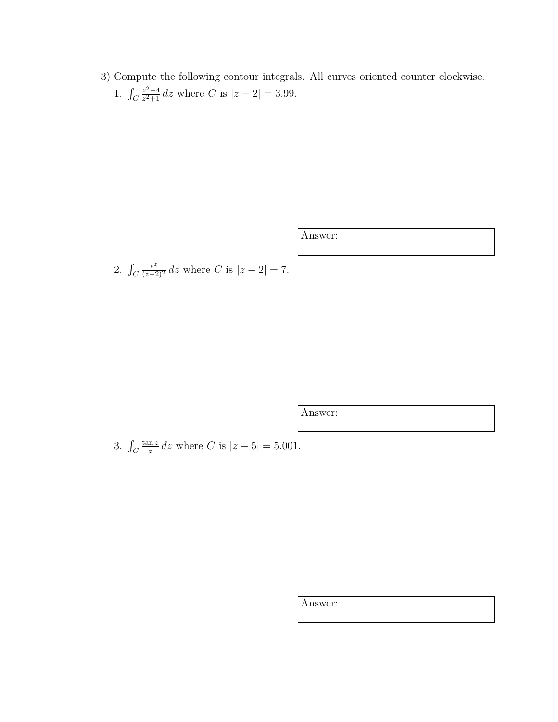3) Compute the following contour integrals. All curves oriented counter clockwise. 1.  $\int_C$  $z^2-4$  $\frac{z^2-4}{z^2+1}$  dz where C is  $|z-2|=3.99$ .

Answer:

2.  $\int_C$  $\frac{e^z}{(z-2)^2}$  dz where C is  $|z-2|=7$ .

Answer:

3.  $\int_C$ tan z  $rac{\text{m }z}{z}$  dz where C is  $|z-5|=5.001$ .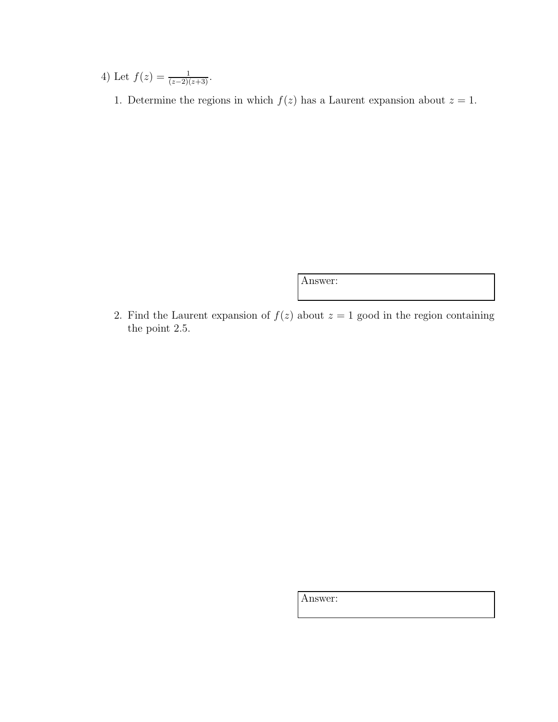4) Let  $f(z) = \frac{1}{(z-2)(z+3)}$ .

1. Determine the regions in which  $f(z)$  has a Laurent expansion about  $z = 1$ .

Answer:

2. Find the Laurent expansion of  $f(z)$  about  $z = 1$  good in the region containing the point 2.5.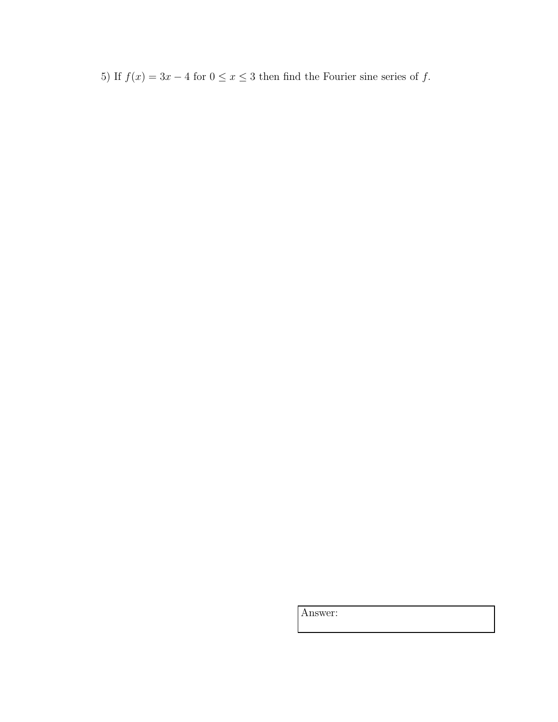5) If  $f(x) = 3x - 4$  for  $0 \le x \le 3$  then find the Fourier sine series of  $f$ .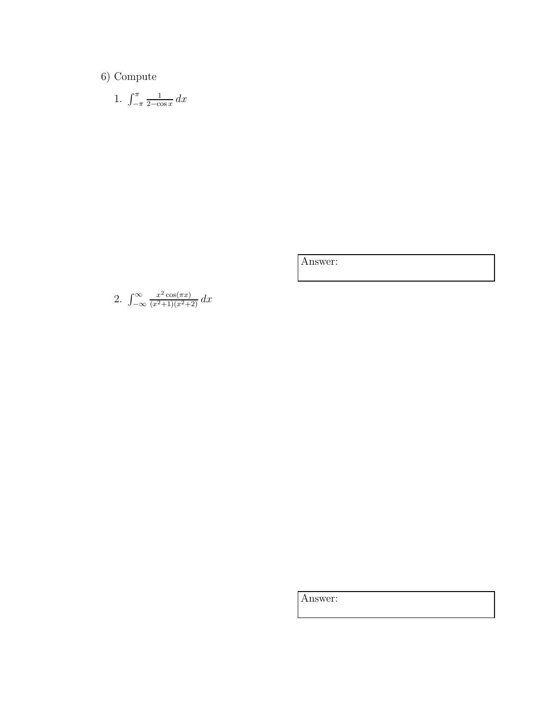6) Compute

1. 
$$
\int_{-\pi}^{\pi} \frac{1}{2 - \cos x} dx
$$

Answer:

2. 
$$
\int_{-\infty}^{\infty} \frac{x^2 \cos(\pi x)}{(x^2+1)(x^2+2)} dx
$$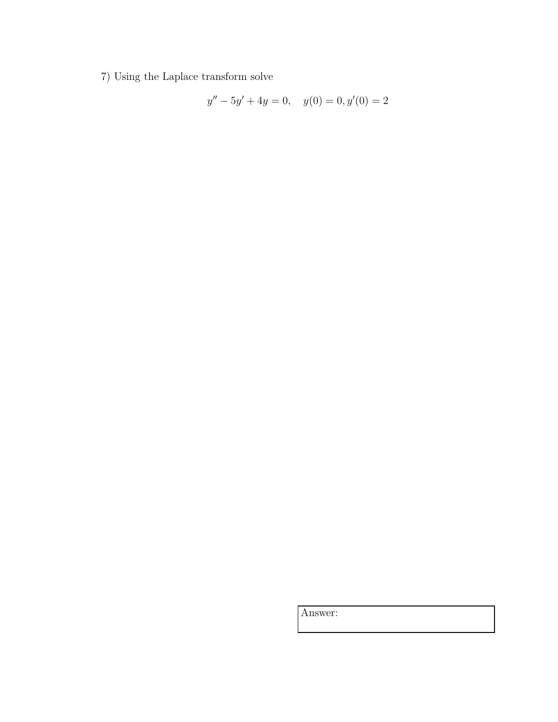7) Using the Laplace transform solve

$$
y'' - 5y' + 4y = 0, \quad y(0) = 0, y'(0) = 2
$$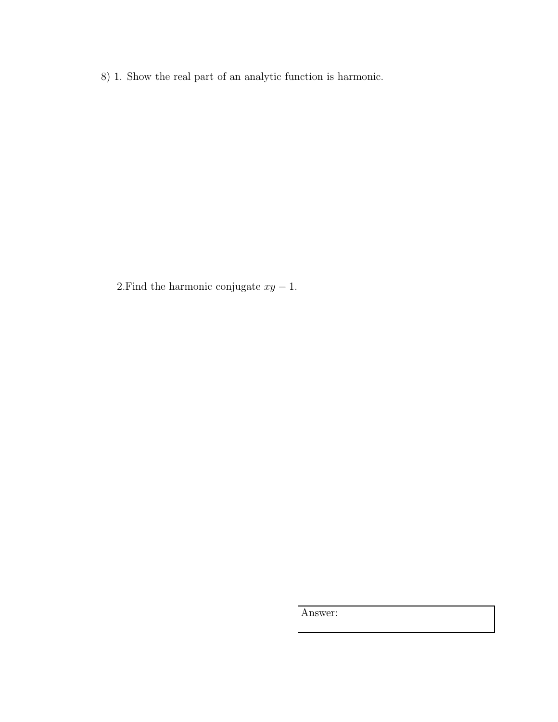8) 1. Show the real part of an analytic function is harmonic.

2.Find the harmonic conjugate  $xy - 1$ .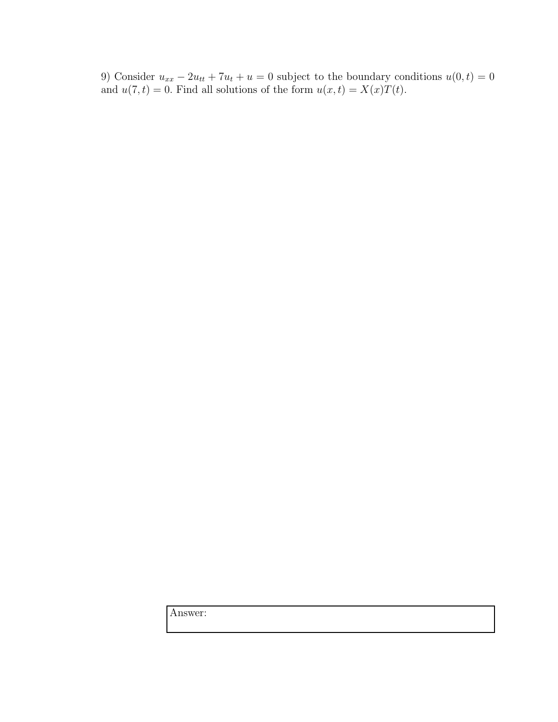9) Consider  $u_{xx} - 2u_{tt} + 7u_t + u = 0$  subject to the boundary conditions  $u(0, t) = 0$ and  $u(7, t) = 0$ . Find all solutions of the form  $u(x, t) = X(x)T(t)$ .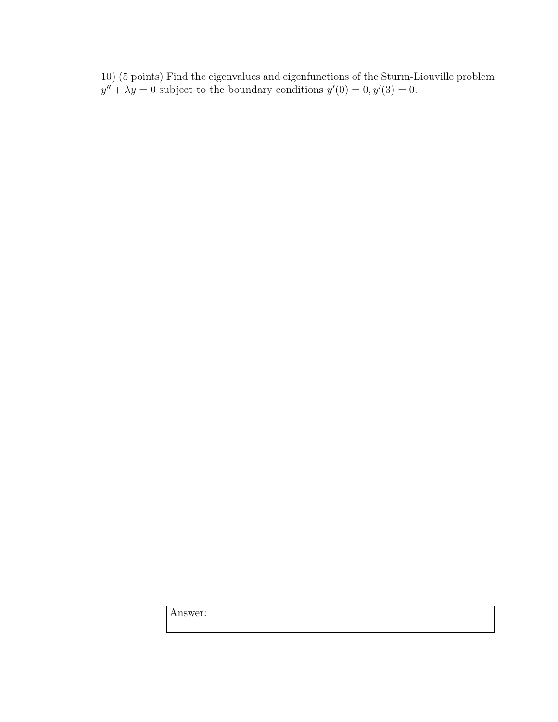10) (5 points) Find the eigenvalues and eigenfunctions of the Sturm-Liouville problem  $y'' + \lambda y = 0$  subject to the boundary conditions  $y'(0) = 0, y'(3) = 0$ .